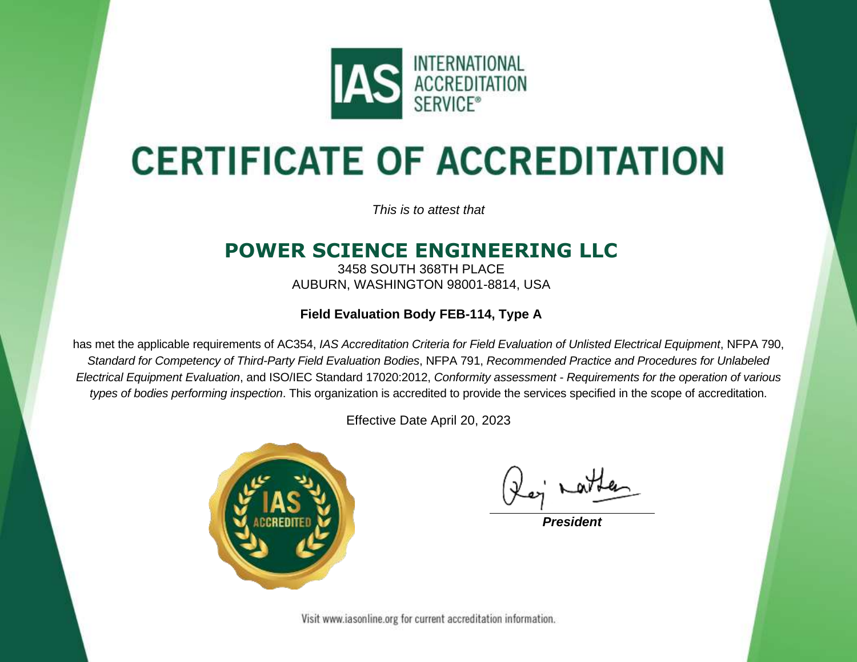

# **CERTIFICATE OF ACCREDITATION**

*This is to attest that*

## **POWER SCIENCE ENGINEERING LLC**

3458 SOUTH 368TH PLACE AUBURN, WASHINGTON 98001-8814, USA

### **Field Evaluation Body FEB-114, Type A**

has met the applicable requirements of AC354, *IAS Accreditation Criteria for Field Evaluation of Unlisted Electrical Equipment*, NFPA 790, *Standard for Competency of Third-Party Field Evaluation Bodies*, NFPA 791, *Recommended Practice and Procedures for Unlabeled Electrical Equipment Evaluation*, and ISO/IEC Standard 17020:2012, *Conformity assessment - Requirements for the operation of various types of bodies performing inspection*. This organization is accredited to provide the services specified in the scope of accreditation.

Effective Date April 20, 2023



*President*

Visit www.iasonline.org for current accreditation information.